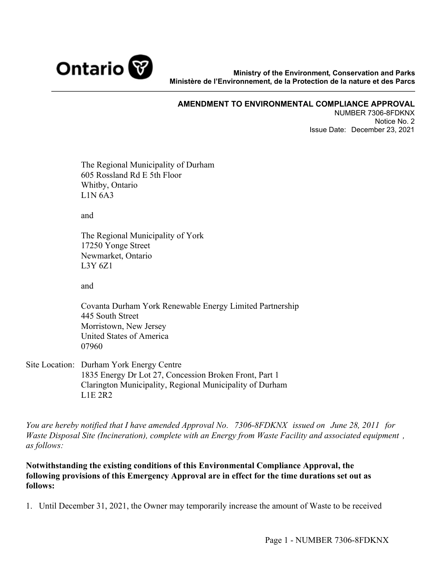

**Ministry of the Environment, Conservation and Parks Ministère de l'Environnement, de la Protection de la nature et des Parcs**

## **AMENDMENT TO ENVIRONMENTAL COMPLIANCE APPROVAL**

NUMBER 7306-8FDKNX Notice No. 2 Issue Date: December 23, 2021

The Regional Municipality of Durham 605 Rossland Rd E 5th Floor Whitby, Ontario L1N 6A3

and

The Regional Municipality of York 17250 Yonge Street Newmarket, Ontario L3Y 6Z1

and

Covanta Durham York Renewable Energy Limited Partnership 445 South Street Morristown, New Jersey United States of America 07960

Site Location: Durham York Energy Centre 1835 Energy Dr Lot 27, Concession Broken Front, Part 1 Clarington Municipality, Regional Municipality of Durham L1E 2R2

*You are hereby notified that I have amended Approval No. 7306-8FDKNX issued on June 28, 2011 for Waste Disposal Site (Incineration), complete with an Energy from Waste Facility and associated equipment , as follows:*

**Notwithstanding the existing conditions of this Environmental Compliance Approval, the following provisions of this Emergency Approval are in effect for the time durations set out as follows:** 

1. Until December 31, 2021, the Owner may temporarily increase the amount of Waste to be received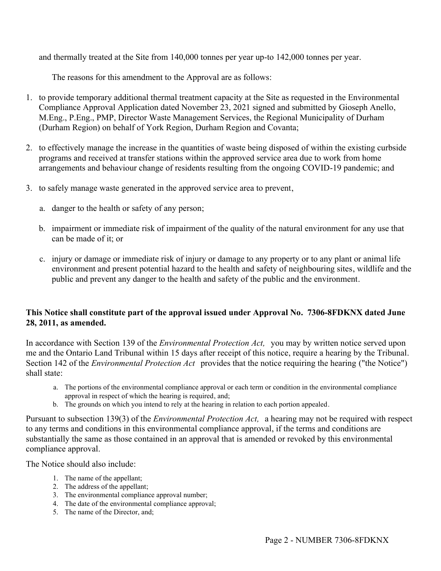and thermally treated at the Site from 140,000 tonnes per year up-to 142,000 tonnes per year.

The reasons for this amendment to the Approval are as follows:

- 1. to provide temporary additional thermal treatment capacity at the Site as requested in the Environmental Compliance Approval Application dated November 23, 2021 signed and submitted by Gioseph Anello, M.Eng., P.Eng., PMP, Director Waste Management Services, the Regional Municipality of Durham (Durham Region) on behalf of York Region, Durham Region and Covanta;
- 2. to effectively manage the increase in the quantities of waste being disposed of within the existing curbside programs and received at transfer stations within the approved service area due to work from home arrangements and behaviour change of residents resulting from the ongoing COVID-19 pandemic; and
- 3. to safely manage waste generated in the approved service area to prevent,
	- a. danger to the health or safety of any person;
	- b. impairment or immediate risk of impairment of the quality of the natural environment for any use that can be made of it; or
	- c. injury or damage or immediate risk of injury or damage to any property or to any plant or animal life environment and present potential hazard to the health and safety of neighbouring sites, wildlife and the public and prevent any danger to the health and safety of the public and the environment.

## **This Notice shall constitute part of the approval issued under Approval No. 7306-8FDKNX dated June 28, 2011, as amended.**

In accordance with Section 139 of the *Environmental Protection Act,* you may by written notice served upon me and the Ontario Land Tribunal within 15 days after receipt of this notice, require a hearing by the Tribunal. Section 142 of the *Environmental Protection Act* provides that the notice requiring the hearing ("the Notice") shall state:

- a. The portions of the environmental compliance approval or each term or condition in the environmental compliance approval in respect of which the hearing is required, and;
- b. The grounds on which you intend to rely at the hearing in relation to each portion appealed.

Pursuant to subsection 139(3) of the *Environmental Protection Act,* a hearing may not be required with respect to any terms and conditions in this environmental compliance approval, if the terms and conditions are substantially the same as those contained in an approval that is amended or revoked by this environmental compliance approval.

The Notice should also include:

- 1. The name of the appellant;
- 2. The address of the appellant;
- 3. The environmental compliance approval number;
- 4. The date of the environmental compliance approval;
- 5. The name of the Director, and;